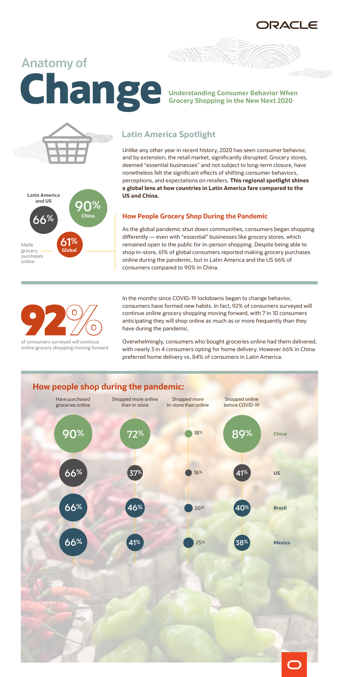RACLE

# **Anatomy of Understanding Consumer Behavior When**<br>**Grocery Shopping in the New Next 2020**

**THE STATE** 





online grocery shopping moving forward

Unlike any other year in recent history, 2020 has seen consumer behavior, and by extension, the retail market, significantly disrupted. Grocery stores, deemed "essential businesses" and not subject to long-term closure, have nonetheless felt the significant effects of shifting consumer behaviors, perceptions, and expectations on retailers. **This regional spotlight shines a global lens at how countries in Latin America fare compared to the US and China.** 

#### **How People Grocery Shop During the Pandemic**

As the global pandemic shut down communities, consumers began shopping differently — even with "essential" businesses like grocery stores, which remained open to the public for in-person shopping. Despite being able to shop in-store, 61% of global consumers reported making grocery purchases online during the pandemic, but in Latin America and the US 66% of consumers compared to 90% in China.



In the months since COVID-19 lockdowns began to change behavior, consumers have formed new habits. In fact, 92% of consumers surveyed will continue online grocery shopping moving forward, with 7 in 10 consumers anticipating they will shop online as much as or more frequently than they have during the pandemic.

Overwhelmingly, consumers who bought groceries online had them delivered, with nearly 3 in 4 consumers opting for home delivery. However 66% in China preferred home delivery vs. 84% of consumers in Latin America.

## **Latin America Spotlight**